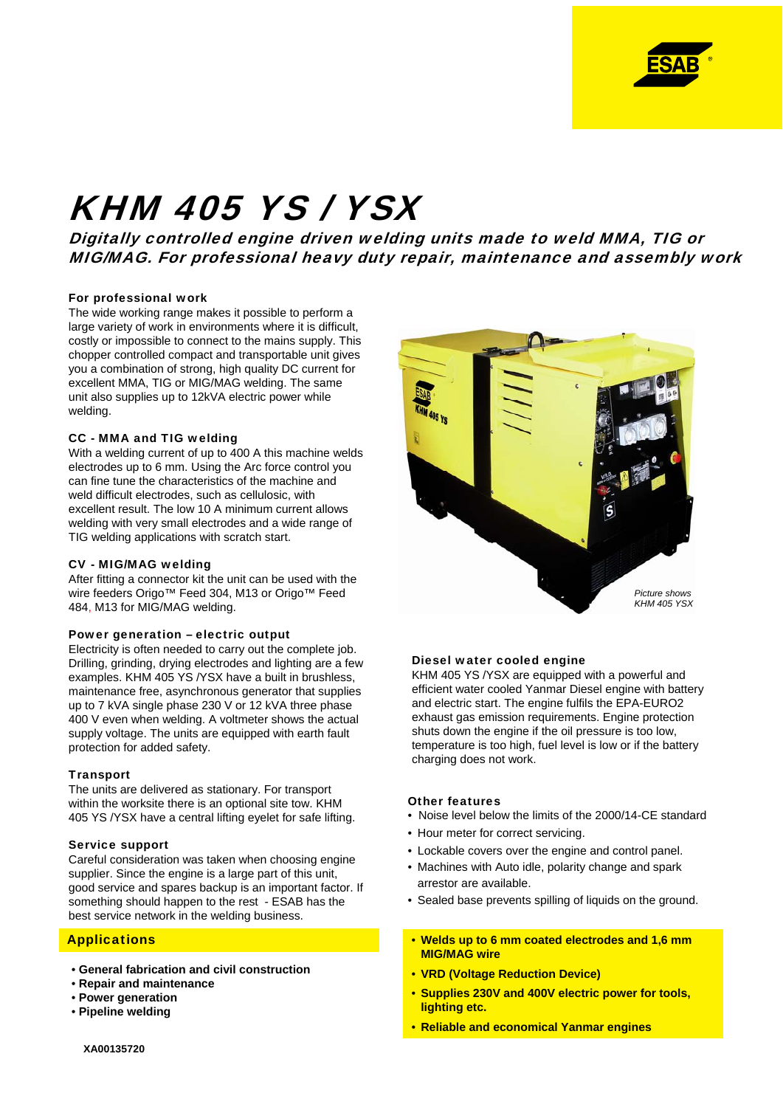

# KHM 405 YS / YSX

Digitally controlled engine driven welding units made to weld MMA, TIG or MIG/MAG. For professional heavy duty repair, maintenance and assembly work

#### For professional work

The wide working range makes it possible to perform a large variety of work in environments where it is difficult, costly or impossible to connect to the mains supply. This chopper controlled compact and transportable unit gives you a combination of strong, high quality DC current for excellent MMA, TIG or MIG/MAG welding. The same unit also supplies up to 12kVA electric power while welding.

#### CC - MMA and TIG welding

With a welding current of up to 400 A this machine welds electrodes up to 6 mm. Using the Arc force control you can fine tune the characteristics of the machine and weld difficult electrodes, such as cellulosic, with excellent result. The low 10 A minimum current allows welding with very small electrodes and a wide range of TIG welding applications with scratch start.

### CV - MIG/MAG welding

After fitting a connector kit the unit can be used with the wire feeders Origo™ Feed 304, M13 or Origo™ Feed 484, M13 for MIG/MAG welding.

#### Power generation – electric output

Electricity is often needed to carry out the complete job. Drilling, grinding, drying electrodes and lighting are a few examples. KHM 405 YS /YSX have a built in brushless, maintenance free, asynchronous generator that supplies up to 7 kVA single phase 230 V or 12 kVA three phase 400 V even when welding. A voltmeter shows the actual supply voltage. The units are equipped with earth fault protection for added safety.

### **Transport**

The units are delivered as stationary. For transport within the worksite there is an optional site tow. KHM 405 YS /YSX have a central lifting eyelet for safe lifting.

#### Service support

Careful consideration was taken when choosing engine supplier. Since the engine is a large part of this unit, good service and spares backup is an important factor. If something should happen to the rest - ESAB has the best service network in the welding business.

### **Applications**

- **General fabrication and civil construction**
- **Repair and maintenance**
- **Power generation**
- **Pipeline welding**



#### Diesel water cooled engine

KHM 405 YS /YSX are equipped with a powerful and efficient water cooled Yanmar Diesel engine with battery and electric start. The engine fulfils the EPA-EURO2 exhaust gas emission requirements. Engine protection shuts down the engine if the oil pressure is too low, temperature is too high, fuel level is low or if the battery charging does not work.

#### Other features

- Noise level below the limits of the 2000/14-CE standard
- Hour meter for correct servicing.
- Lockable covers over the engine and control panel.
- Machines with Auto idle, polarity change and spark arrestor are available.
- Sealed base prevents spilling of liquids on the ground.
- **Welds up to 6 mm coated electrodes and 1,6 mm MIG/MAG wire**
- **VRD (Voltage Reduction Device)**
- **Supplies 230V and 400V electric power for tools, lighting etc.**
- **Reliable and economical Yanmar engines**